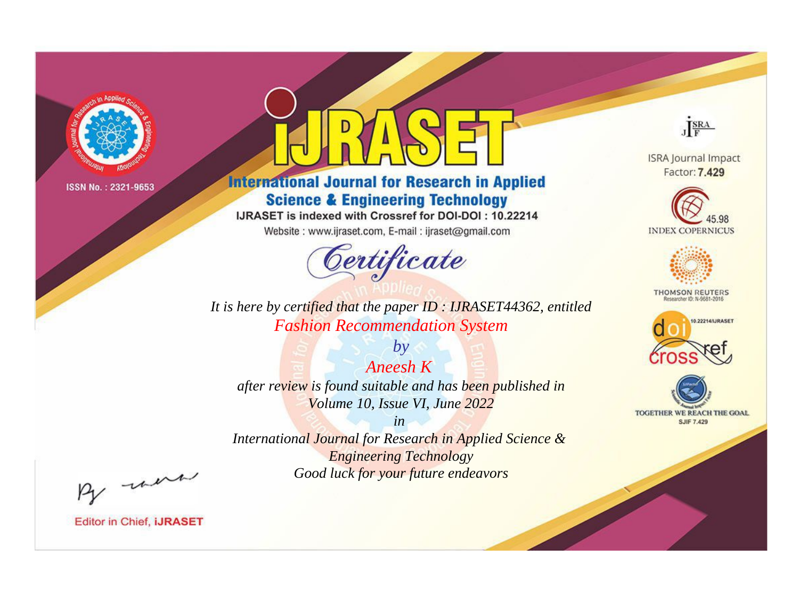

# **International Journal for Research in Applied Science & Engineering Technology**

IJRASET is indexed with Crossref for DOI-DOI: 10.22214

Website: www.ijraset.com, E-mail: ijraset@gmail.com



JERA

**ISRA Journal Impact** Factor: 7.429





**THOMSON REUTERS** 



TOGETHER WE REACH THE GOAL **SJIF 7.429** 

*It is here by certified that the paper ID : IJRASET44362, entitled Fashion Recommendation System*

*Aneesh K after review is found suitable and has been published in Volume 10, Issue VI, June 2022*

*by*

*in* 

*International Journal for Research in Applied Science & Engineering Technology Good luck for your future endeavors*

By morn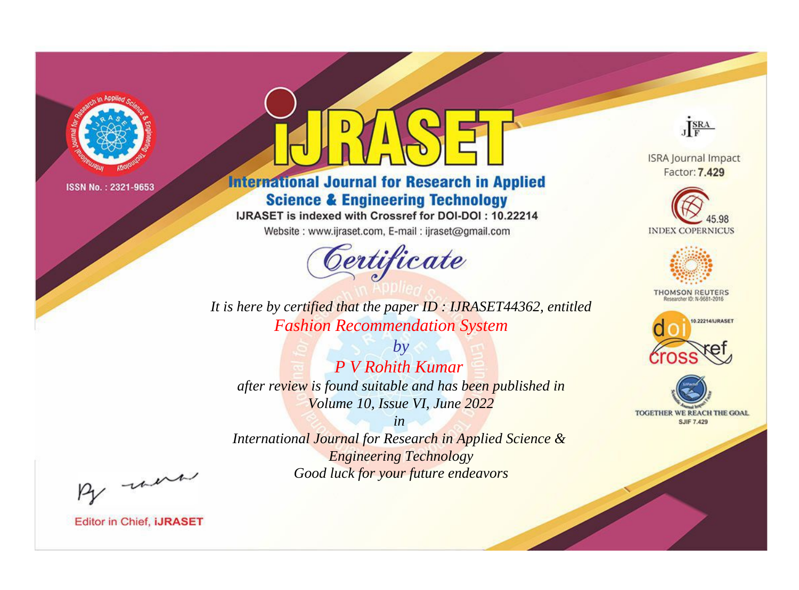

# **International Journal for Research in Applied Science & Engineering Technology**

IJRASET is indexed with Crossref for DOI-DOI: 10.22214

Website: www.ijraset.com, E-mail: ijraset@gmail.com



JERA

**ISRA Journal Impact** Factor: 7.429





**THOMSON REUTERS** 



TOGETHER WE REACH THE GOAL **SJIF 7.429** 

It is here by certified that the paper ID: IJRASET44362, entitled **Fashion Recommendation System** 

 $b\nu$ P V Rohith Kumar after review is found suitable and has been published in Volume 10, Issue VI, June 2022

 $in$ International Journal for Research in Applied Science & **Engineering Technology** Good luck for your future endeavors

By morn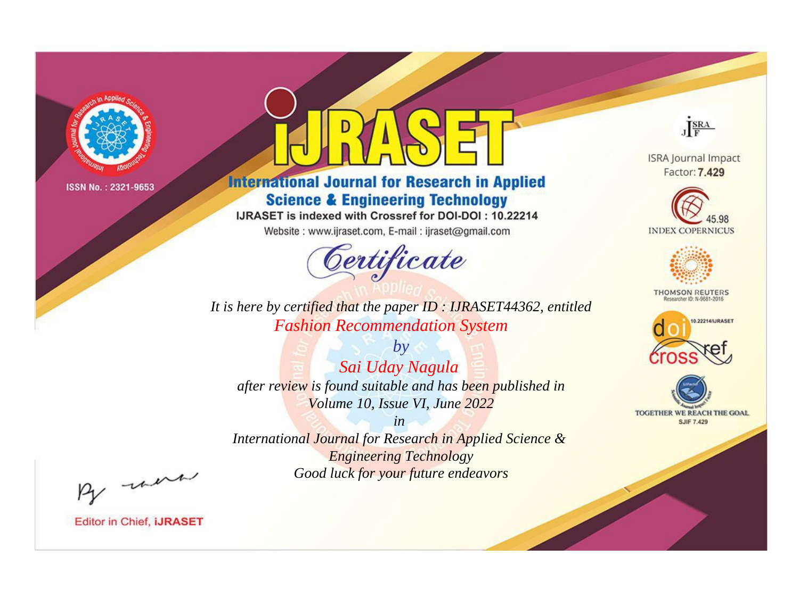

# **International Journal for Research in Applied Science & Engineering Technology**

IJRASET is indexed with Crossref for DOI-DOI: 10.22214

Website: www.ijraset.com, E-mail: ijraset@gmail.com



JERA

**ISRA Journal Impact** Factor: 7.429





**THOMSON REUTERS** 



TOGETHER WE REACH THE GOAL **SJIF 7.429** 

It is here by certified that the paper ID: IJRASET44362, entitled **Fashion Recommendation System** 

 $by$ Sai Uday Nagula after review is found suitable and has been published in Volume 10, Issue VI, June 2022

 $in$ International Journal for Research in Applied Science & **Engineering Technology** Good luck for your future endeavors

By morn